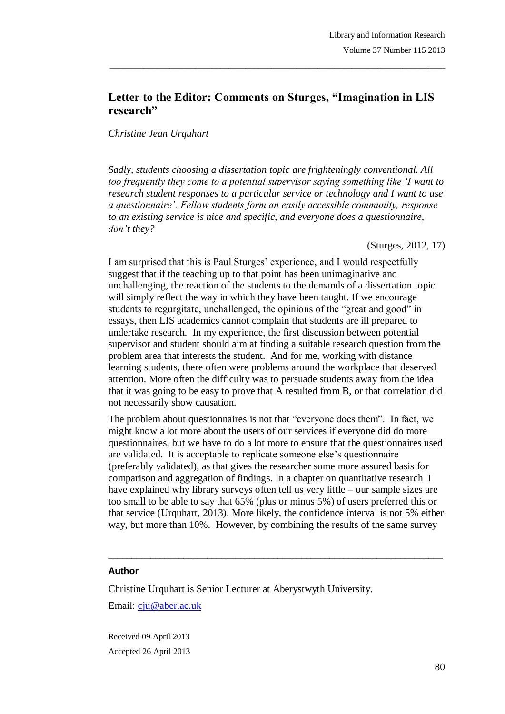# **Letter to the Editor: Comments on Sturges, "Imagination in LIS research"**

\_\_\_\_\_\_\_\_\_\_\_\_\_\_\_\_\_\_\_\_\_\_\_\_\_\_\_\_\_\_\_\_\_\_\_\_\_\_\_\_\_\_\_\_\_\_\_\_\_\_\_\_\_\_\_\_\_\_\_\_\_\_\_\_\_\_\_\_\_\_\_\_\_\_\_\_\_\_\_

### *Christine Jean Urquhart*

*Sadly, students choosing a dissertation topic are frighteningly conventional. All too frequently they come to a potential supervisor saying something like 'I want to research student responses to a particular service or technology and I want to use a questionnaire'. Fellow students form an easily accessible community, response to an existing service is nice and specific, and everyone does a questionnaire, don't they?*

(Sturges, 2012, 17)

I am surprised that this is Paul Sturges" experience, and I would respectfully suggest that if the teaching up to that point has been unimaginative and unchallenging, the reaction of the students to the demands of a dissertation topic will simply reflect the way in which they have been taught. If we encourage students to regurgitate, unchallenged, the opinions of the "great and good" in essays, then LIS academics cannot complain that students are ill prepared to undertake research. In my experience, the first discussion between potential supervisor and student should aim at finding a suitable research question from the problem area that interests the student. And for me, working with distance learning students, there often were problems around the workplace that deserved attention. More often the difficulty was to persuade students away from the idea that it was going to be easy to prove that A resulted from B, or that correlation did not necessarily show causation.

The problem about questionnaires is not that "everyone does them". In fact, we might know a lot more about the users of our services if everyone did do more questionnaires, but we have to do a lot more to ensure that the questionnaires used are validated. It is acceptable to replicate someone else"s questionnaire (preferably validated), as that gives the researcher some more assured basis for comparison and aggregation of findings. In a chapter on quantitative research I have explained why library surveys often tell us very little – our sample sizes are too small to be able to say that 65% (plus or minus 5%) of users preferred this or that service (Urquhart, 2013). More likely, the confidence interval is not 5% either way, but more than 10%. However, by combining the results of the same survey

 $\_$  ,  $\_$  ,  $\_$  ,  $\_$  ,  $\_$  ,  $\_$  ,  $\_$  ,  $\_$  ,  $\_$  ,  $\_$  ,  $\_$  ,  $\_$  ,  $\_$  ,  $\_$  ,  $\_$  ,  $\_$  ,  $\_$  ,  $\_$  ,  $\_$ 

#### **Author**

Christine Urquhart is Senior Lecturer at Aberystwyth University. Email: cju@aber.ac.uk

Received 09 April 2013 Accepted 26 April 2013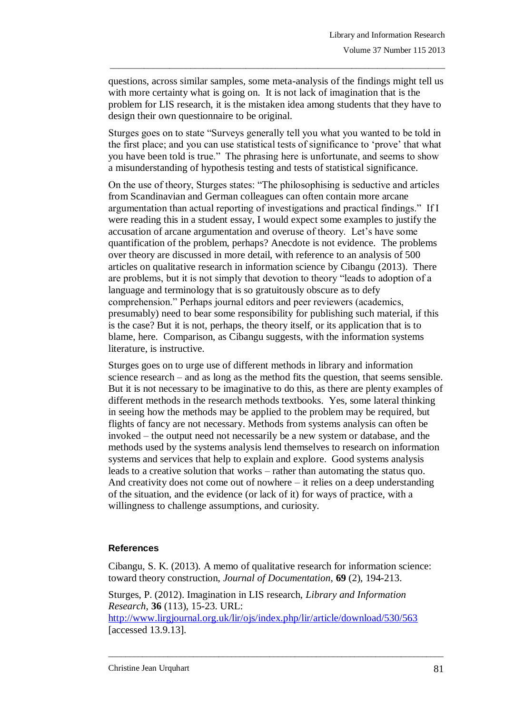questions, across similar samples, some meta-analysis of the findings might tell us with more certainty what is going on. It is not lack of imagination that is the problem for LIS research, it is the mistaken idea among students that they have to design their own questionnaire to be original.

\_\_\_\_\_\_\_\_\_\_\_\_\_\_\_\_\_\_\_\_\_\_\_\_\_\_\_\_\_\_\_\_\_\_\_\_\_\_\_\_\_\_\_\_\_\_\_\_\_\_\_\_\_\_\_\_\_\_\_\_\_\_\_\_\_\_\_\_\_\_\_\_\_\_\_\_\_\_\_

Sturges goes on to state "Surveys generally tell you what you wanted to be told in the first place; and you can use statistical tests of significance to "prove" that what you have been told is true." The phrasing here is unfortunate, and seems to show a misunderstanding of hypothesis testing and tests of statistical significance.

On the use of theory, Sturges states: "The philosophising is seductive and articles from Scandinavian and German colleagues can often contain more arcane argumentation than actual reporting of investigations and practical findings." If I were reading this in a student essay, I would expect some examples to justify the accusation of arcane argumentation and overuse of theory. Let's have some quantification of the problem, perhaps? Anecdote is not evidence. The problems over theory are discussed in more detail, with reference to an analysis of 500 articles on qualitative research in information science by Cibangu (2013). There are problems, but it is not simply that devotion to theory "leads to adoption of a language and terminology that is so gratuitously obscure as to defy comprehension." Perhaps journal editors and peer reviewers (academics, presumably) need to bear some responsibility for publishing such material, if this is the case? But it is not, perhaps, the theory itself, or its application that is to blame, here. Comparison, as Cibangu suggests, with the information systems literature, is instructive.

Sturges goes on to urge use of different methods in library and information science research – and as long as the method fits the question, that seems sensible. But it is not necessary to be imaginative to do this, as there are plenty examples of different methods in the research methods textbooks. Yes, some lateral thinking in seeing how the methods may be applied to the problem may be required, but flights of fancy are not necessary. Methods from systems analysis can often be invoked – the output need not necessarily be a new system or database, and the methods used by the systems analysis lend themselves to research on information systems and services that help to explain and explore. Good systems analysis leads to a creative solution that works – rather than automating the status quo. And creativity does not come out of nowhere – it relies on a deep understanding of the situation, and the evidence (or lack of it) for ways of practice, with a willingness to challenge assumptions, and curiosity.

## **References**

Cibangu, S. K. (2013). A memo of qualitative research for information science: toward theory construction, *Journal of Documentation*, **69** (2), 194-213.

Sturges, P. (2012). Imagination in LIS research, *Library and Information Research*, **36** (113), 15-23. URL:

<http://www.lirgjournal.org.uk/lir/ojs/index.php/lir/article/download/530/563> [accessed 13.9.13].

\_\_\_\_\_\_\_\_\_\_\_\_\_\_\_\_\_\_\_\_\_\_\_\_\_\_\_\_\_\_\_\_\_\_\_\_\_\_\_\_\_\_\_\_\_\_\_\_\_\_\_\_\_\_\_\_\_\_\_\_\_\_\_\_\_\_\_\_\_\_\_\_\_\_\_\_\_\_\_